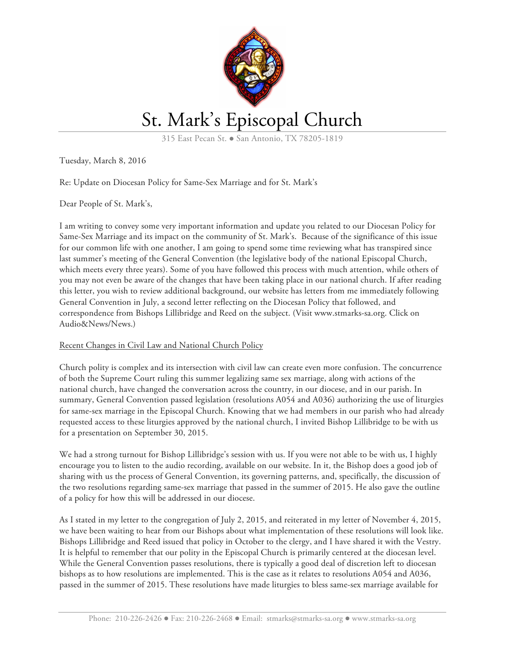

# St. Mark's Episcopal Church

315 East Pecan St. • San Antonio, TX 78205-1819

Tuesday, March 8, 2016

# Re: Update on Diocesan Policy for Same-Sex Marriage and for St. Mark's

Dear People of St. Mark's,

I am writing to convey some very important information and update you related to our Diocesan Policy for Same-Sex Marriage and its impact on the community of St. Mark's. Because of the significance of this issue for our common life with one another, I am going to spend some time reviewing what has transpired since last summer's meeting of the General Convention (the legislative body of the national Episcopal Church, which meets every three years). Some of you have followed this process with much attention, while others of you may not even be aware of the changes that have been taking place in our national church. If after reading this letter, you wish to review additional background, our website has letters from me immediately following General Convention in July, a second letter reflecting on the Diocesan Policy that followed, and correspondence from Bishops Lillibridge and Reed on the subject. (Visit www.stmarks-sa.org. Click on Audio&News/News.)

### Recent Changes in Civil Law and National Church Policy

Church polity is complex and its intersection with civil law can create even more confusion. The concurrence of both the Supreme Court ruling this summer legalizing same sex marriage, along with actions of the national church, have changed the conversation across the country, in our diocese, and in our parish. In summary, General Convention passed legislation (resolutions A054 and A036) authorizing the use of liturgies for same-sex marriage in the Episcopal Church. Knowing that we had members in our parish who had already requested access to these liturgies approved by the national church, I invited Bishop Lillibridge to be with us for a presentation on September 30, 2015.

We had a strong turnout for Bishop Lillibridge's session with us. If you were not able to be with us, I highly encourage you to listen to the audio recording, available on our website. In it, the Bishop does a good job of sharing with us the process of General Convention, its governing patterns, and, specifically, the discussion of the two resolutions regarding same-sex marriage that passed in the summer of 2015. He also gave the outline of a policy for how this will be addressed in our diocese.

As I stated in my letter to the congregation of July 2, 2015, and reiterated in my letter of November 4, 2015, we have been waiting to hear from our Bishops about what implementation of these resolutions will look like. Bishops Lillibridge and Reed issued that policy in October to the clergy, and I have shared it with the Vestry. It is helpful to remember that our polity in the Episcopal Church is primarily centered at the diocesan level. While the General Convention passes resolutions, there is typically a good deal of discretion left to diocesan bishops as to how resolutions are implemented. This is the case as it relates to resolutions A054 and A036, passed in the summer of 2015. These resolutions have made liturgies to bless same-sex marriage available for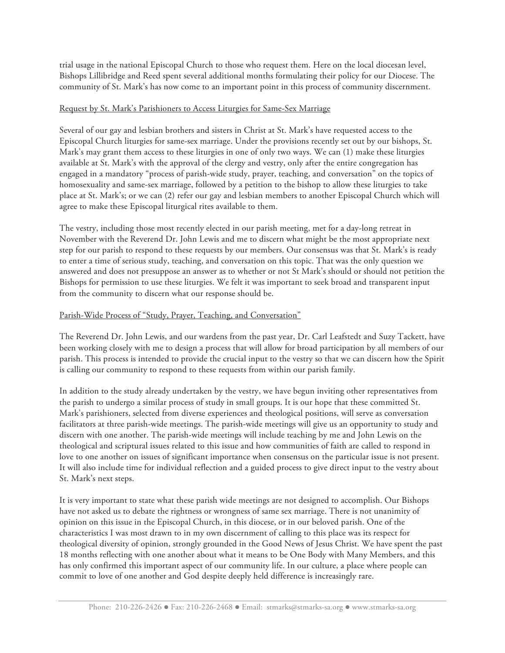trial usage in the national Episcopal Church to those who request them. Here on the local diocesan level, Bishops Lillibridge and Reed spent several additional months formulating their policy for our Diocese. The community of St. Mark's has now come to an important point in this process of community discernment.

# Request by St. Mark's Parishioners to Access Liturgies for Same-Sex Marriage

Several of our gay and lesbian brothers and sisters in Christ at St. Mark's have requested access to the Episcopal Church liturgies for same-sex marriage. Under the provisions recently set out by our bishops, St. Mark's may grant them access to these liturgies in one of only two ways. We can (1) make these liturgies available at St. Mark's with the approval of the clergy and vestry, only after the entire congregation has engaged in a mandatory "process of parish-wide study, prayer, teaching, and conversation" on the topics of homosexuality and same-sex marriage, followed by a petition to the bishop to allow these liturgies to take place at St. Mark's; or we can (2) refer our gay and lesbian members to another Episcopal Church which will agree to make these Episcopal liturgical rites available to them.

The vestry, including those most recently elected in our parish meeting, met for a day-long retreat in November with the Reverend Dr. John Lewis and me to discern what might be the most appropriate next step for our parish to respond to these requests by our members. Our consensus was that St. Mark's is ready to enter a time of serious study, teaching, and conversation on this topic. That was the only question we answered and does not presuppose an answer as to whether or not St Mark's should or should not petition the Bishops for permission to use these liturgies. We felt it was important to seek broad and transparent input from the community to discern what our response should be.

# Parish-Wide Process of "Study, Prayer, Teaching, and Conversation"

The Reverend Dr. John Lewis, and our wardens from the past year, Dr. Carl Leafstedt and Suzy Tackett, have been working closely with me to design a process that will allow for broad participation by all members of our parish. This process is intended to provide the crucial input to the vestry so that we can discern how the Spirit is calling our community to respond to these requests from within our parish family.

In addition to the study already undertaken by the vestry, we have begun inviting other representatives from the parish to undergo a similar process of study in small groups. It is our hope that these committed St. Mark's parishioners, selected from diverse experiences and theological positions, will serve as conversation facilitators at three parish-wide meetings. The parish-wide meetings will give us an opportunity to study and discern with one another. The parish-wide meetings will include teaching by me and John Lewis on the theological and scriptural issues related to this issue and how communities of faith are called to respond in love to one another on issues of significant importance when consensus on the particular issue is not present. It will also include time for individual reflection and a guided process to give direct input to the vestry about St. Mark's next steps.

It is very important to state what these parish wide meetings are not designed to accomplish. Our Bishops have not asked us to debate the rightness or wrongness of same sex marriage. There is not unanimity of opinion on this issue in the Episcopal Church, in this diocese, or in our beloved parish. One of the characteristics I was most drawn to in my own discernment of calling to this place was its respect for theological diversity of opinion, strongly grounded in the Good News of Jesus Christ. We have spent the past 18 months reflecting with one another about what it means to be One Body with Many Members, and this has only confirmed this important aspect of our community life. In our culture, a place where people can commit to love of one another and God despite deeply held difference is increasingly rare.